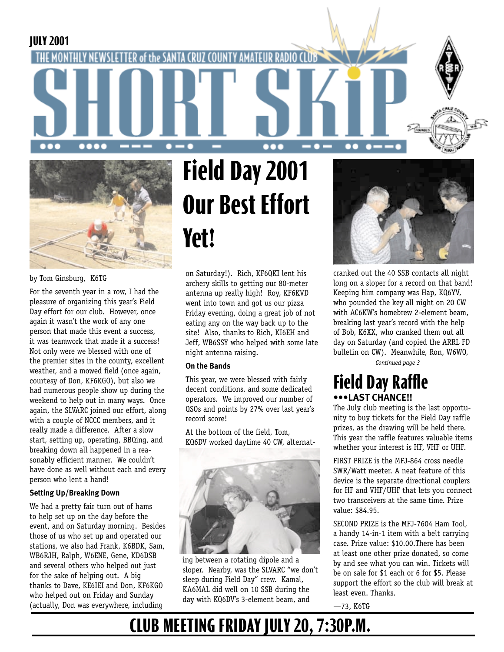#### **JULY 2001**





by Tom Ginsburg, K6TG

For the seventh year in a row, I had the pleasure of organizing this year's Field Day effort for our club. However, once again it wasn't the work of any one person that made this event a success, it was teamwork that made it a success! Not only were we blessed with one of the premier sites in the county, excellent weather, and a mowed field (once again, courtesy of Don, KF6KGO), but also we had numerous people show up during the weekend to help out in many ways. Once again, the SLVARC joined our effort, along with a couple of NCCC members, and it really made a difference. After a slow start, setting up, operating, BBQing, and breaking down all happened in a reasonably efficient manner. We couldn't have done as well without each and every person who lent a hand!

#### **Setting Up/Breaking Down**

We had a pretty fair turn out of hams to help set up on the day before the event, and on Saturday morning. Besides those of us who set up and operated our stations, we also had Frank, K6BDK, Sam, WB6RJH, Ralph, W6ENE, Gene, KD6DSB and several others who helped out just for the sake of helping out. A big thanks to Dave, KE6IEI and Don, KF6KGO who helped out on Friday and Sunday (actually, Don was everywhere, including

# **Field Day 2001 Our Best Effort Yet!**

on Saturday!). Rich, KF6QKI lent his archery skills to getting our 80-meter antenna up really high! Roy, KF6KVD went into town and got us our pizza Friday evening, doing a great job of not eating any on the way back up to the site! Also, thanks to Rich, KI6EH and Jeff, WB6SSY who helped with some late night antenna raising.

#### **On the Bands**

This year, we were blessed with fairly decent conditions, and some dedicated operators. We improved our number of QSOs and points by 27% over last year's record score!

At the bottom of the field, Tom, KQ6DV worked daytime 40 CW, alternat-



ing between a rotating dipole and a sloper. Nearby, was the SLVARC "we don't sleep during Field Day" crew. Kamal, KA6MAL did well on 10 SSB during the day with KQ6DV's 3-element beam, and



 $\bullet\bullet$ 

cranked out the 40 SSB contacts all night long on a sloper for a record on that band! Keeping him company was Hap, KQ6YV, who pounded the key all night on 20 CW with AC6KW's homebrew 2-element beam, breaking last year's record with the help of Bob, K6XX, who cranked them out all day on Saturday (and copied the ARRL FD bulletin on CW). Meanwhile, Ron, W6WO,

*Continued page 3*

#### **Field Day Raffle •••LAST CHANCE!!**

The July club meeting is the last opportunity to buy tickets for the Field Day raffle prizes, as the drawing will be held there. This year the raffle features valuable items whether your interest is HF, VHF or UHF.

FIRST PRIZE is the MFJ-864 cross needle SWR/Watt meeter. A neat feature of this device is the separate directional couplers for HF and VHF/UHF that lets you connect two transceivers at the same time. Prize value: \$84.95.

SECOND PRIZE is the MFJ-7604 Ham Tool, a handy 14-in-1 item with a belt carrying case. Prize value: \$10.00.There has been at least one other prize donated, so come by and see what you can win. Tickets will be on sale for \$1 each or 6 for \$5. Please support the effort so the club will break at least even. Thanks.

—73, K6TG

## **CLUB MEETING FRIDAY JULY 20, 7:30P.M.**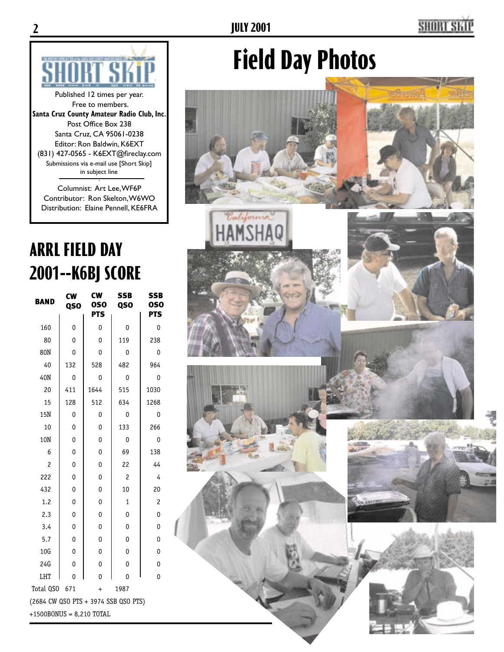## **SHORT S**



Published 12 times per year. Free to members. **Santa Cruz County Amateur Radio Club, Inc.** Post Office Box 238 Santa Cruz, CA 95061-0238 Editor: Ron Baldwin, K6EXT (831) 427-0565 - K6EXT@fireclay.com . Submissions via e-mail use [Short Skip] in subject line

Columnist: Art Lee, WF6P Contributor: Ron Skelton, W6WO Distribution: Elaine Pennell, KE6FRA

## **ARRL FIELD DAY 2001--K6BJ SCORE**

| <b>BAND</b>                          | <b>CW</b><br>QSO | CW<br><b>0SO</b><br><b>PTS</b> | <b>SSB</b><br>QSO | SSB<br><b>OSO</b><br><b>PTS</b> |  |
|--------------------------------------|------------------|--------------------------------|-------------------|---------------------------------|--|
| 160                                  | 0                | 0                              | 0                 | 0                               |  |
| 80                                   | 0                | 0                              | 119               | 238                             |  |
| 80N                                  | 0                | 0                              | 0                 | 0                               |  |
| 40                                   | 132              | 528                            | 482               | 964                             |  |
| 40N                                  | 0                | 0                              | 0                 | 0                               |  |
| 20                                   | 411              | 1644                           | 515               | 1030                            |  |
| 15                                   | 128              | 512                            | 634               | 1268                            |  |
| 15N                                  | 0                | 0                              | 0                 | 0                               |  |
| 10                                   | 0                | 0                              | 133               | 266                             |  |
| 10N                                  | 0                | 0                              | 0                 | 0                               |  |
| 6                                    | 0                | 0                              | 69                | 138                             |  |
| 2                                    | 0                | 0                              | 22                | 44                              |  |
| 222                                  | 0                | 0                              | $\overline{c}$    | 4                               |  |
| 432                                  | 0                | 0                              | 10                | 20                              |  |
| 1.2                                  | 0                | 0                              | $\mathbf{1}$      | $\overline{c}$                  |  |
| 2.3                                  | 0                | 0                              | 0                 | 0                               |  |
| 3.4                                  | 0                | 0                              | 0                 | 0                               |  |
| 5.7                                  | 0                | 0                              | $\mathbf 0$       | $\mathbf 0$                     |  |
| 10G                                  | 0                | 0                              | 0                 | $\mathbf 0$                     |  |
| 24G                                  | 0                | 0                              | 0                 | 0                               |  |
| LHT                                  | 0                | $\overline{0}$                 | 0                 | 0                               |  |
| Total QSO                            | 671              | $\ddot{}$                      | 1987              |                                 |  |
| (2684 CW QSO PTS + 3974 SSB QSO PTS) |                  |                                |                   |                                 |  |
| $+1500BONUS = 8,210 TOTAL$           |                  |                                |                   |                                 |  |

# **Field Day Photos**

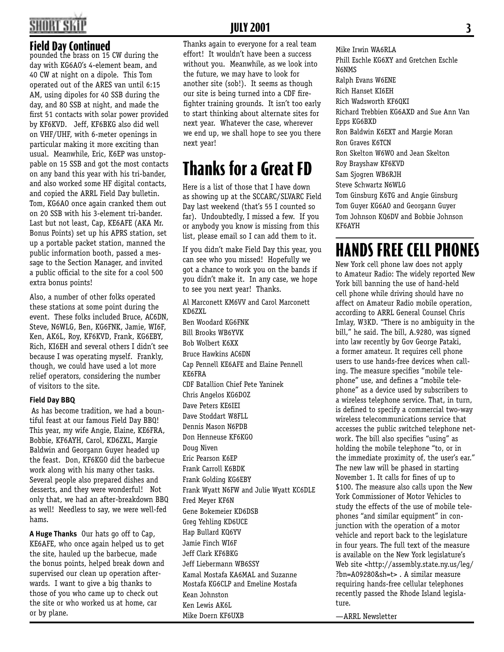## **HORT SI**

#### **Field Day Continued**

pounded the brass on 15 CW during the day with KG6AO's 4-element beam, and 40 CW at night on a dipole. This Tom operated out of the ARES van until 6:15 AM, using dipoles for 40 SSB during the day, and 80 SSB at night, and made the first 51 contacts with solar power provided by KF6KVD. Jeff, KF6BKG also did well on VHF/UHF, with 6-meter openings in particular making it more exciting than usual. Meanwhile, Eric, K6EP was unstoppable on 15 SSB and got the most contacts on any band this year with his tri-bander, and also worked some HF digital contacts, and copied the ARRL Field Day bulletin. Tom, KG6AO once again cranked them out on 20 SSB with his 3-element tri-bander. Last but not least, Cap, KE6AFE (AKA Mr. Bonus Points) set up his APRS station, set up a portable packet station, manned the public information booth, passed a message to the Section Manager, and invited a public official to the site for a cool 500 extra bonus points!

Also, a number of other folks operated these stations at some point during the event. These folks included Bruce, AC6DN, Steve, N6WLG, Ben, KG6FNK, Jamie, WI6F, Ken, AK6L, Roy, KF6KVD, Frank, KG6EBY, Rich, KI6EH and several others I didn't see because I was operating myself. Frankly, though, we could have used a lot more relief operators, considering the number of visitors to the site.

#### **Field Day BBQ**

As has become tradition, we had a bountiful feast at our famous Field Day BBQ! This year, my wife Angie, Elaine, KE6FRA, Bobbie, KF6AYH, Carol, KD6ZXL, Margie Baldwin and Georgann Guyer headed up the feast. Don, KF6KGO did the barbecue work along with his many other tasks. Several people also prepared dishes and desserts, and they were wonderful! Not only that, we had an after-breakdown BBQ as well! Needless to say, we were well-fed hams.

**A Huge Thanks** Our hats go off to Cap, KE6AFE, who once again helped us to get the site, hauled up the barbecue, made the bonus points, helped break down and supervised our clean up operation afterwards. I want to give a big thanks to those of you who came up to check out the site or who worked us at home, car or by plane.

#### **JULY 2001**

Thanks again to everyone for a real team effort! It wouldn't have been a success without you. Meanwhile, as we look into the future, we may have to look for another site (sob!). It seems as though our site is being turned into a CDF firefighter training grounds. It isn't too early to start thinking about alternate sites for next year. Whatever the case, wherever we end up, we shall hope to see you there next year!

## **Thanks for a Great FD**

Here is a list of those that I have down as showing up at the SCCARC/SLVARC Field Day last weekend (that's 55 I counted so far). Undoubtedly, I missed a few. If you or anybody you know is missing from this list, please email so I can add them to it.

If you didn't make Field Day this year, you can see who you missed! Hopefully we got a chance to work you on the bands if you didn't make it. In any case, we hope to see you next year! Thanks.

Al Marconett KM6VV and Carol Marconett KD6ZXL Ben Woodard KG6FNK Bill Brooks WB6YVK Bob Wolbert K6XX Bruce Hawkins AC6DN Cap Pennell KE6AFE and Elaine Pennell KE6FRA CDF Batallion Chief Pete Yaninek Chris Angelos KG6DOZ Dave Peters KE6IEI Dave Stoddart W8FLL Dennis Mason N6PDB Don Henneuse KF6KGO Doug Niven Eric Pearson K6EP Frank Carroll K6BDK Frank Golding KG6EBY Frank Wyatt N6FW and Julie Wyatt KC6DLE Fred Meyer KF6N Gene Bokemeier KD6DSB Greg Yehling KD6UCE Hap Bullard KQ6YV Jamie Finch WI6F Jeff Clark KF6BKG Jeff Liebermann WB6SSY Kamal Mostafa KA6MAL and Suzanne Mostafa KG6CLP and Emeline Mostafa Kean Johnston Ken Lewis AK6L Mike Doern KF6UXB

Mike Irwin WA6RLA Phill Eschle KG6XY and Gretchen Eschle N6NMS Ralph Evans W6ENE Rich Hanset KI6EH Rich Wadsworth KF6QKI Richard Trebbien KG6AXD and Sue Ann Van Epps KG6BXD Ron Baldwin K6EXT and Margie Moran Ron Graves K6TCN Ron Skelton W6WO and Jean Skelton Roy Brayshaw KF6KVD Sam Sjogren WB6RJH Steve Schwartz N6WLG Tom Ginsburg K6TG and Angie Ginsburg Tom Guyer KG6AO and Georgann Guyer Tom Johnson KQ6DV and Bobbie Johnson KF6AYH

### **HANDS FREE CELL PHONES**

New York cell phone law does not apply to Amateur Radio: The widely reported New York bill banning the use of hand-held cell phone while driving should have no affect on Amateur Radio mobile operation, according to ARRL General Counsel Chris Imlay, W3KD. "There is no ambiguity in the bill," he said. The bill, A.9280, was signed into law recently by Gov George Pataki, a former amateur. It requires cell phone users to use hands-free devices when calling. The measure specifies "mobile telephone" use, and defines a "mobile telephone" as a device used by subscribers to a wireless telephone service. That, in turn, is defined to specify a commercial two-way wireless telecommunications service that accesses the public switched telephone network. The bill also specifies "using" as holding the mobile telephone "to, or in the immediate proximity of, the user's ear." The new law will be phased in starting November 1. It calls for fines of up to \$100. The measure also calls upon the New York Commissioner of Motor Vehicles to study the effects of the use of mobile telephones "and similar equipment" in conjunction with the operation of a motor vehicle and report back to the legislature in four years. The full text of the measure is available on the New York legislature's Web site <http://assembly.state.ny.us/leg/ ?bn=A09280&sh=t> . A similar measure requiring hands-free cellular telephones recently passed the Rhode Island legislature.

—ARRL Newsletter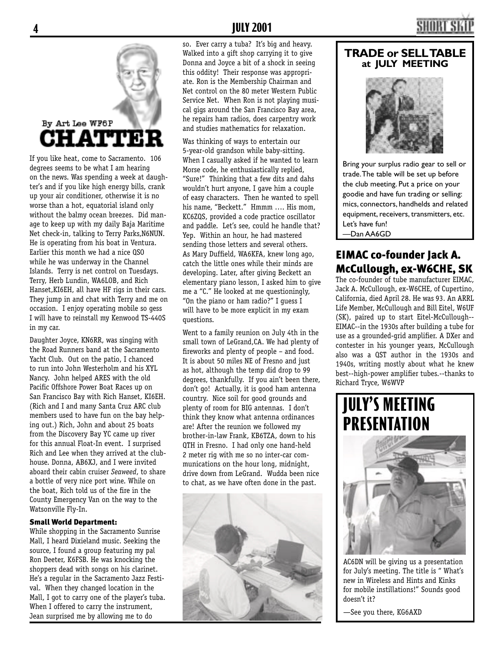# By Art Lee WF6P **CHATTER**

If you like heat, come to Sacramento. 106 degrees seems to be what I am hearing on the news. Was spending a week at daughter's and if you like high energy bills, crank up your air conditioner, otherwise it is no worse than a hot, equatorial island only without the balmy ocean breezes. Did manage to keep up with my daily Baja Maritime Net check-in, talking to Terry Parks,N6NUN. He is operating from his boat in Ventura. Earlier this month we had a nice QSO while he was underway in the Channel Islands. Terry is net control on Tuesdays. Terry, Herb Lundin, WA6LOB, and Rich Hanset,KI6EH, all have HF rigs in their cars. They jump in and chat with Terry and me on occasion. I enjoy operating mobile so gess I will have to reinstall my Kenwood TS-440S in my car.

Daughter Joyce, KN6RR, was singing with the Road Runners band at the Sacramento Yacht Club. Out on the patio, I chanced to run into John Westerholm and his XYL Nancy. John helped ARES with the old Pacific Offshore Power Boat Races up on San Francisco Bay with Rich Hanset, KI6EH. (Rich and I and many Santa Cruz ARC club members used to have fun on the bay helping out.) Rich, John and about 25 boats from the Discovery Bay YC came up river for this annual Float-In event. I surprised Rich and Lee when they arrived at the clubhouse. Donna, AB6XJ, and I were invited aboard their cabin cruiser *Seaweed*, to share a bottle of very nice port wine. While on the boat, Rich told us of the fire in the County Emergency Van on the way to the Watsonville Fly-In.

#### Small World Department:

While shopping in the Sacramento Sunrise Mall, I heard Dixieland music. Seeking the source, I found a group featuring my pal Ron Deeter, K6FSB. He was knocking the shoppers dead with songs on his clarinet. He's a regular in the Sacramento Jazz Festival. When they changed location in the Mall, I got to carry one of the player's tuba. When I offered to carry the instrument, Jean surprised me by allowing me to do

#### **4 JULY 2001**

so. Ever carry a tuba? It's big and heavy. Walked into a gift shop carrying it to give Donna and Joyce a bit of a shock in seeing this oddity! Their response was appropriate. Ron is the Membership Chairman and Net control on the 80 meter Western Public Service Net. When Ron is not playing musical gigs around the San Francisco Bay area, he repairs ham radios, does carpentry work and studies mathematics for relaxation.

Was thinking of ways to entertain our 5-year-old grandson while baby-sitting. When I casually asked if he wanted to learn Morse code, he enthusiastically replied, "Sure!" Thinking that a few dits and dahs wouldn't hurt anyone, I gave him a couple of easy characters. Then he wanted to spell his name, "Beckett." Hmmm …. His mom, KC6ZQS, provided a code practice oscillator and paddle. Let's see, could he handle that? Yep. Within an hour, he had mastered sending those letters and several others. As Mary Duffield, WA6KFA, knew long ago, catch the little ones while their minds are developing. Later, after giving Beckett an elementary piano lesson, I asked him to give me a "C." He looked at me questioningly, "On the piano or ham radio?" I guess I will have to be more explicit in my exam questions.

Went to a family reunion on July 4th in the small town of LeGrand,CA. We had plenty of fireworks and plenty of people - and food. It is about 50 miles NE of Fresno and just as hot, although the temp did drop to 99 degrees, thankfully. If you ain't been there, don't go! Actually, it is good ham antenna country. Nice soil for good grounds and plenty of room for BIG antennas. I don't think they know what antenna ordinances are! After the reunion we followed my brother-in-law Frank, KB6TZA, down to his QTH in Fresno. I had only one hand-held 2 meter rig with me so no inter-car communications on the hour long, midnight, drive down from LeGrand. Wudda been nice to chat, as we have often done in the past.



#### **TRADE or SELL TABLE at JULY MEETING**



Bring your surplus radio gear to sell or trade. The table will be set up before the club meeting. Put a price on your goodie and have fun trading or selling: mics, connectors, handhelds and related equipment, receivers, transmitters, etc. Let's have fun! —Dan AA6GD

#### EIMAC co-founder Jack A. McCullough, ex-W6CHE, SK

The co-founder of tube manufacturer EIMAC, Jack A. McCullough, ex-W6CHE, of Cupertino, California, died April 28. He was 93. An ARRL Life Member, McCullough and Bill Eitel, W6UF (SK), paired up to start Eitel-McCullough-- EIMAC--in the 1930s after building a tube for use as a grounded-grid amplifier. A DXer and contester in his younger years, McCullough also was a QST author in the 1930s and 1940s, writing mostly about what he knew best--high-power amplifier tubes.--thanks to Richard Tryce, W6WVP



AC6DN will be giving us a presentation for July's meeting. The title is " What's new in Wireless and Hints and Kinks for mobile instillations!" Sounds good doesn't it?

—See you there, KG6AXD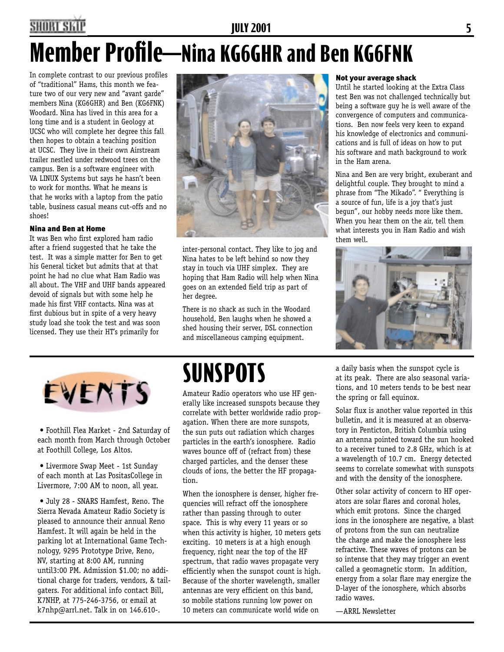#### **SHORT SKII JULY 2001 5 Member Profile—Nina KG6GHR and Ben KG6FNK**

In complete contrast to our previous profiles of "traditional" Hams, this month we feature two of our very new and "avant garde" members Nina (KG6GHR) and Ben (KG6FNK) Woodard. Nina has lived in this area for a long time and is a student in Geology at UCSC who will complete her degree this fall then hopes to obtain a teaching position at UCSC. They live in their own Airstream trailer nestled under redwood trees on the campus. Ben is a software engineer with VA LINUX Systems but says he hasn't been to work for months. What he means is that he works with a laptop from the patio table, business casual means cut-offs and no shoes!

#### Nina and Ben at Home

It was Ben who first explored ham radio after a friend suggested that he take the test. It was a simple matter for Ben to get his General ticket but admits that at that point he had no clue what Ham Radio was all about. The VHF and UHF bands appeared devoid of signals but with some help he made his first VHF contacts. Nina was at first dubious but in spite of a very heavy study load she took the test and was soon licensed. They use their HT's primarily for



inter-personal contact. They like to jog and Nina hates to be left behind so now they stay in touch via UHF simplex. They are hoping that Ham Radio will help when Nina goes on an extended field trip as part of her degree.

There is no shack as such in the Woodard household, Ben laughs when he showed a shed housing their server, DSL connection and miscellaneous camping equipment.

#### Not your average shack

Until he started looking at the Extra Class test Ben was not challenged technically but being a software guy he is well aware of the convergence of computers and communications. Ben now feels very keen to expand his knowledge of electronics and communications and is full of ideas on how to put his software and math background to work in the Ham arena.

Nina and Ben are very bright, exuberant and delightful couple. They brought to mind a phrase from "The Mikado". " Everything is a source of fun, life is a joy that's just begun", our hobby needs more like them. When you hear them on the air, tell them what interests you in Ham Radio and wish them well.





• Foothill Flea Market - 2nd Saturday of each month from March through October at Foothill College, Los Altos.

• Livermore Swap Meet - 1st Sunday of each month at Las PositasCollege in Livermore, 7:00 AM to noon, all year.

• July 28 - SNARS Hamfest, Reno. The Sierra Nevada Amateur Radio Society is pleased to announce their annual Reno Hamfest. It will again be held in the parking lot at International Game Technology, 9295 Prototype Drive, Reno, NV, starting at 8:00 AM, running until3:00 PM. Admission \$1.00; no additional charge for traders, vendors, & tailgaters. For additional info contact Bill, K7NHP, at 775-246-3756, or email at k7nhp@arrl.net. Talk in on 146.610-.

## **SUNSPOTS**

Amateur Radio operators who use HF generally like increased sunspots because they correlate with better worldwide radio propagation. When there are more sunspots, the sun puts out radiation which charges particles in the earth's ionosphere. Radio waves bounce off of (refract from) these charged particles, and the denser these clouds of ions, the better the HF propagation.

When the ionosphere is denser, higher frequencies will refract off the ionosphere rather than passing through to outer space. This is why every 11 years or so when this activity is higher, 10 meters gets exciting. 10 meters is at a high enough frequency, right near the top of the HF spectrum, that radio waves propagate very efficiently when the sunspot count is high. Because of the shorter wavelength, smaller antennas are very efficient on this band, so mobile stations running low power on 10 meters can communicate world wide on

a daily basis when the sunspot cycle is at its peak. There are also seasonal variations, and 10 meters tends to be best near the spring or fall equinox.

Solar flux is another value reported in this bulletin, and it is measured at an observatory in Penticton, British Columbia using an antenna pointed toward the sun hooked to a receiver tuned to 2.8 GHz, which is at a wavelength of 10.7 cm. Energy detected seems to correlate somewhat with sunspots and with the density of the ionosphere.

Other solar activity of concern to HF operators are solar flares and coronal holes, which emit protons. Since the charged ions in the ionosphere are negative, a blast of protons from the sun can neutralize the charge and make the ionosphere less refractive. These waves of protons can be so intense that they may trigger an event called a geomagnetic storm. In addition, energy from a solar flare may energize the D-layer of the ionosphere, which absorbs radio waves.

—ARRL Newsletter